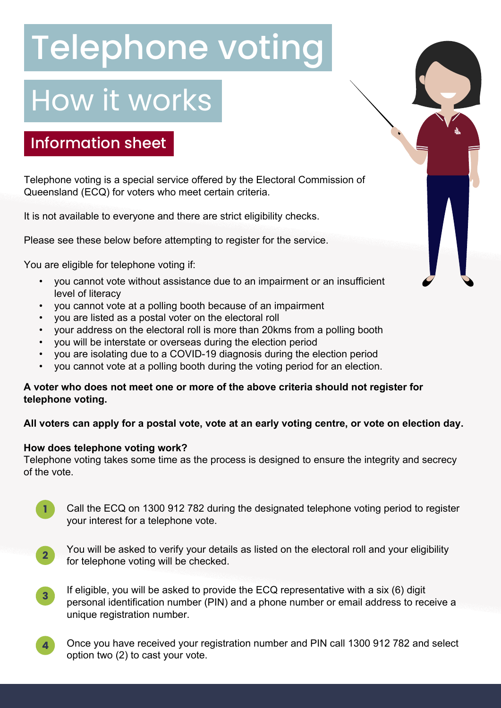# Telephone voting

## How it works

### Information sheet

Telephone voting is a special service offered by the Electoral Commission of Queensland (ECQ) for voters who meet certain criteria.

It is not available to everyone and there are strict eligibility checks.

Please see these below before attempting to register for the service.

You are eligible for telephone voting if:

- you cannot vote without assistance due to an impairment or an insufficient level of literacy
- you cannot vote at a polling booth because of an impairment
- you are listed as a postal voter on the electoral roll
- your address on the electoral roll is more than 20kms from a polling booth
- you will be interstate or overseas during the election period
- you are isolating due to a COVID-19 diagnosis during the election period
- you cannot vote at a polling booth during the voting period for an election.

#### **A voter who does not meet one or more of the above criteria should not register for telephone voting.**

#### **All voters can apply for a postal vote, vote at an early voting centre, or vote on election day.**

#### **How does telephone voting work?**

Telephone voting takes some time as the process is designed to ensure the integrity and secrecy of the vote.

- Call the ECQ on 1300 912 782 during the designated telephone voting period to register your interest for a telephone vote.
- **2**

**1**

You will be asked to verify your details as listed on the electoral roll and your eligibility for telephone voting will be checked.

- If eligible, you will be asked to provide the ECQ representative with a six (6) digit personal identification number (PIN) and a phone number or email address to receive a unique registration number. **3**
- Once you have received your registration number and PIN call 1300 912 782 and select option two (2) to cast your vote. **4**